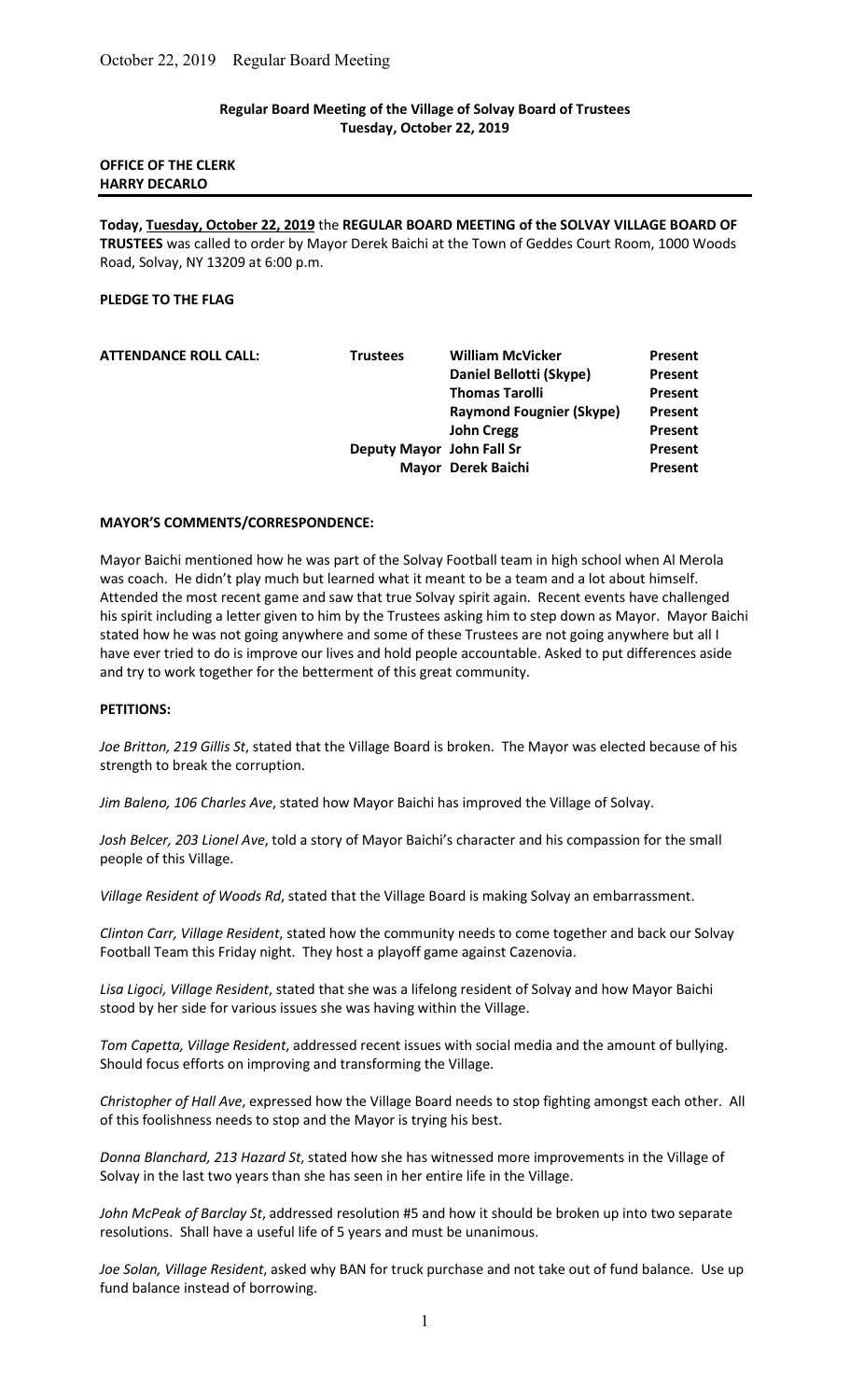#### Regular Board Meeting of the Village of Solvay Board of Trustees Tuesday, October 22, 2019

## OFFICE OF THE CLERK HARRY DECARLO

Today, Tuesday, October 22, 2019 the REGULAR BOARD MEETING of the SOLVAY VILLAGE BOARD OF TRUSTEES was called to order by Mayor Derek Baichi at the Town of Geddes Court Room, 1000 Woods Road, Solvay, NY 13209 at 6:00 p.m.

#### PLEDGE TO THE FLAG

| <b>ATTENDANCE ROLL CALL:</b> | <b>Trustees</b>           | <b>William McVicker</b>         | Present        |
|------------------------------|---------------------------|---------------------------------|----------------|
|                              |                           | Daniel Bellotti (Skype)         | Present        |
|                              |                           | <b>Thomas Tarolli</b>           | Present        |
|                              |                           | <b>Raymond Fougnier (Skype)</b> | <b>Present</b> |
|                              |                           | <b>John Cregg</b>               | Present        |
|                              | Deputy Mayor John Fall Sr |                                 | Present        |
|                              |                           | Mayor Derek Baichi              | Present        |
|                              |                           |                                 |                |

#### MAYOR'S COMMENTS/CORRESPONDENCE:

Mayor Baichi mentioned how he was part of the Solvay Football team in high school when Al Merola was coach. He didn't play much but learned what it meant to be a team and a lot about himself. Attended the most recent game and saw that true Solvay spirit again. Recent events have challenged his spirit including a letter given to him by the Trustees asking him to step down as Mayor. Mayor Baichi stated how he was not going anywhere and some of these Trustees are not going anywhere but all I have ever tried to do is improve our lives and hold people accountable. Asked to put differences aside and try to work together for the betterment of this great community.

#### PETITIONS:

Joe Britton, 219 Gillis St, stated that the Village Board is broken. The Mayor was elected because of his strength to break the corruption.

Jim Baleno, 106 Charles Ave, stated how Mayor Baichi has improved the Village of Solvay.

Josh Belcer, 203 Lionel Ave, told a story of Mayor Baichi's character and his compassion for the small people of this Village.

Village Resident of Woods Rd, stated that the Village Board is making Solvay an embarrassment.

Clinton Carr, Village Resident, stated how the community needs to come together and back our Solvay Football Team this Friday night. They host a playoff game against Cazenovia.

Lisa Ligoci, Village Resident, stated that she was a lifelong resident of Solvay and how Mayor Baichi stood by her side for various issues she was having within the Village.

Tom Capetta, Village Resident, addressed recent issues with social media and the amount of bullying. Should focus efforts on improving and transforming the Village.

Christopher of Hall Ave, expressed how the Village Board needs to stop fighting amongst each other. All of this foolishness needs to stop and the Mayor is trying his best.

Donna Blanchard, 213 Hazard St, stated how she has witnessed more improvements in the Village of Solvay in the last two years than she has seen in her entire life in the Village.

John McPeak of Barclay St, addressed resolution #5 and how it should be broken up into two separate resolutions. Shall have a useful life of 5 years and must be unanimous.

Joe Solan, Village Resident, asked why BAN for truck purchase and not take out of fund balance. Use up fund balance instead of borrowing.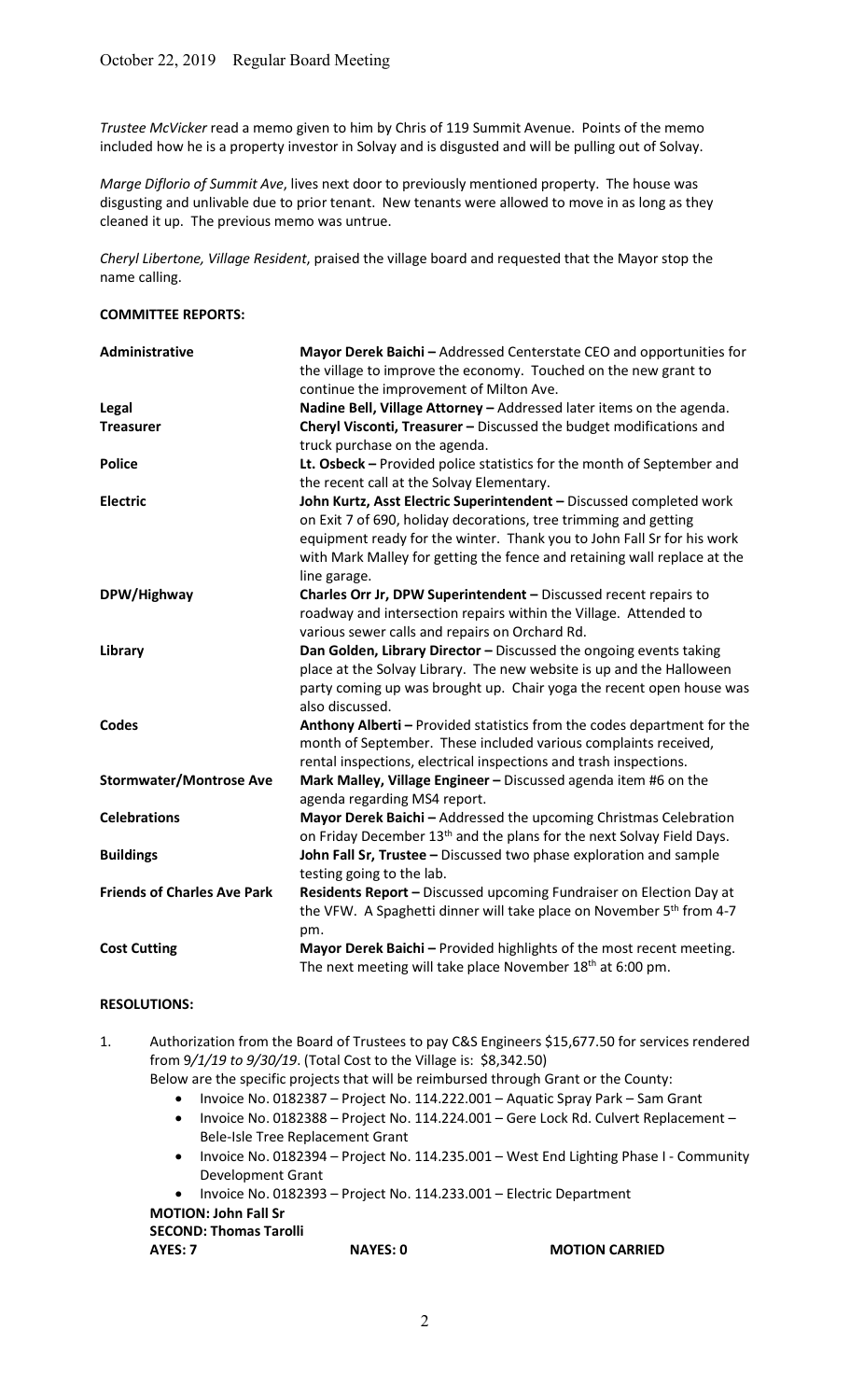Trustee McVicker read a memo given to him by Chris of 119 Summit Avenue. Points of the memo included how he is a property investor in Solvay and is disgusted and will be pulling out of Solvay.

Marge Diflorio of Summit Ave, lives next door to previously mentioned property. The house was disgusting and unlivable due to prior tenant. New tenants were allowed to move in as long as they cleaned it up. The previous memo was untrue.

Cheryl Libertone, Village Resident, praised the village board and requested that the Mayor stop the name calling.

#### COMMITTEE REPORTS:

| Administrative                     | Mayor Derek Baichi - Addressed Centerstate CEO and opportunities for              |
|------------------------------------|-----------------------------------------------------------------------------------|
|                                    | the village to improve the economy. Touched on the new grant to                   |
|                                    | continue the improvement of Milton Ave.                                           |
| Legal                              | Nadine Bell, Village Attorney - Addressed later items on the agenda.              |
| <b>Treasurer</b>                   | Cheryl Visconti, Treasurer - Discussed the budget modifications and               |
|                                    | truck purchase on the agenda.                                                     |
| <b>Police</b>                      | Lt. Osbeck - Provided police statistics for the month of September and            |
|                                    | the recent call at the Solvay Elementary.                                         |
| <b>Electric</b>                    | John Kurtz, Asst Electric Superintendent - Discussed completed work               |
|                                    | on Exit 7 of 690, holiday decorations, tree trimming and getting                  |
|                                    | equipment ready for the winter. Thank you to John Fall Sr for his work            |
|                                    | with Mark Malley for getting the fence and retaining wall replace at the          |
|                                    | line garage.                                                                      |
| DPW/Highway                        | Charles Orr Jr, DPW Superintendent - Discussed recent repairs to                  |
|                                    | roadway and intersection repairs within the Village. Attended to                  |
|                                    | various sewer calls and repairs on Orchard Rd.                                    |
| Library                            | Dan Golden, Library Director - Discussed the ongoing events taking                |
|                                    | place at the Solvay Library. The new website is up and the Halloween              |
|                                    | party coming up was brought up. Chair yoga the recent open house was              |
|                                    | also discussed.                                                                   |
| <b>Codes</b>                       | Anthony Alberti - Provided statistics from the codes department for the           |
|                                    | month of September. These included various complaints received,                   |
|                                    | rental inspections, electrical inspections and trash inspections.                 |
| <b>Stormwater/Montrose Ave</b>     | Mark Malley, Village Engineer - Discussed agenda item #6 on the                   |
|                                    | agenda regarding MS4 report.                                                      |
| <b>Celebrations</b>                | Mayor Derek Baichi - Addressed the upcoming Christmas Celebration                 |
|                                    | on Friday December 13 <sup>th</sup> and the plans for the next Solvay Field Days. |
| <b>Buildings</b>                   | John Fall Sr, Trustee - Discussed two phase exploration and sample                |
|                                    | testing going to the lab.                                                         |
| <b>Friends of Charles Ave Park</b> | Residents Report - Discussed upcoming Fundraiser on Election Day at               |
|                                    | the VFW. A Spaghetti dinner will take place on November 5 <sup>th</sup> from 4-7  |
|                                    | pm.                                                                               |
| <b>Cost Cutting</b>                | Mayor Derek Baichi - Provided highlights of the most recent meeting.              |
|                                    | The next meeting will take place November 18 <sup>th</sup> at 6:00 pm.            |

## RESOLUTIONS:

1. Authorization from the Board of Trustees to pay C&S Engineers \$15,677.50 for services rendered from 9/1/19 to 9/30/19. (Total Cost to the Village is: \$8,342.50)

Below are the specific projects that will be reimbursed through Grant or the County:

- Invoice No. 0182387 Project No. 114.222.001 Aquatic Spray Park Sam Grant
- Invoice No. 0182388 Project No. 114.224.001 Gere Lock Rd. Culvert Replacement Bele-Isle Tree Replacement Grant
- Invoice No. 0182394 Project No. 114.235.001 West End Lighting Phase I Community Development Grant

Invoice No. 0182393 – Project No. 114.233.001 – Electric Department

# MOTION: John Fall Sr

#### SECOND: Thomas Tarolli

AYES: 7 NAYES: 0 MOTION CARRIED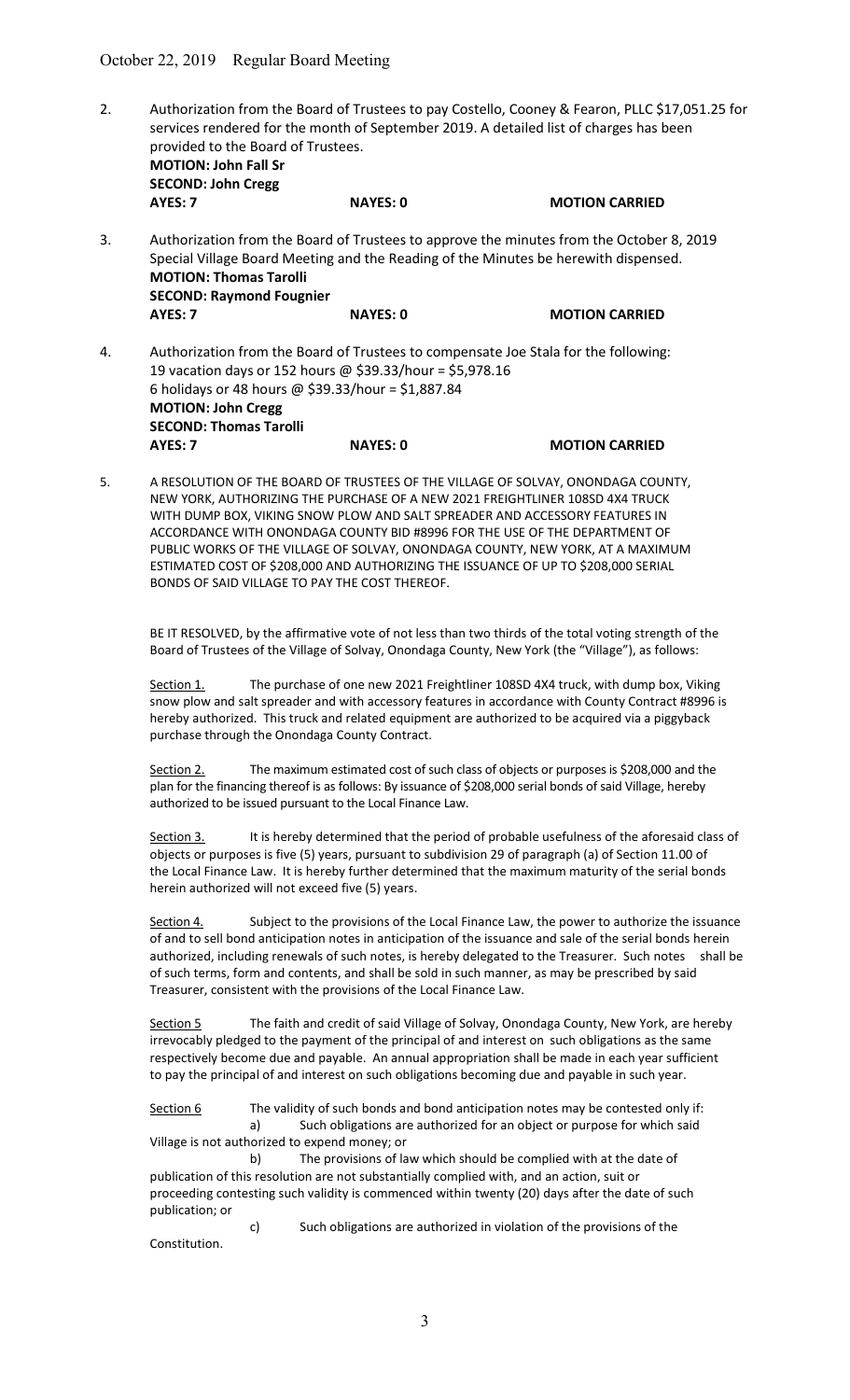2. Authorization from the Board of Trustees to pay Costello, Cooney & Fearon, PLLC \$17,051.25 for services rendered for the month of September 2019. A detailed list of charges has been provided to the Board of Trustees. MOTION: John Fall Sr SECOND: John Cregg AYES: 7 NAYES: 0 MOTION CARRIED

3. Authorization from the Board of Trustees to approve the minutes from the October 8, 2019 Special Village Board Meeting and the Reading of the Minutes be herewith dispensed. MOTION: Thomas Tarolli SECOND: Raymond Fougnier AYES: 7 NAYES: 0 MOTION CARRIED

- 4. Authorization from the Board of Trustees to compensate Joe Stala for the following: 19 vacation days or 152 hours @ \$39.33/hour = \$5,978.16 6 holidays or 48 hours @ \$39.33/hour = \$1,887.84 MOTION: John Cregg SECOND: Thomas Tarolli AYES: 7 NAYES: 0 MOTION CARRIED
- 5. A RESOLUTION OF THE BOARD OF TRUSTEES OF THE VILLAGE OF SOLVAY, ONONDAGA COUNTY, NEW YORK, AUTHORIZING THE PURCHASE OF A NEW 2021 FREIGHTLINER 108SD 4X4 TRUCK WITH DUMP BOX, VIKING SNOW PLOW AND SALT SPREADER AND ACCESSORY FEATURES IN ACCORDANCE WITH ONONDAGA COUNTY BID #8996 FOR THE USE OF THE DEPARTMENT OF PUBLIC WORKS OF THE VILLAGE OF SOLVAY, ONONDAGA COUNTY, NEW YORK, AT A MAXIMUM ESTIMATED COST OF \$208,000 AND AUTHORIZING THE ISSUANCE OF UP TO \$208,000 SERIAL BONDS OF SAID VILLAGE TO PAY THE COST THEREOF.

BE IT RESOLVED, by the affirmative vote of not less than two thirds of the total voting strength of the Board of Trustees of the Village of Solvay, Onondaga County, New York (the "Village"), as follows:

Section 1. The purchase of one new 2021 Freightliner 108SD 4X4 truck, with dump box, Viking snow plow and salt spreader and with accessory features in accordance with County Contract #8996 is hereby authorized. This truck and related equipment are authorized to be acquired via a piggyback purchase through the Onondaga County Contract.

Section 2. The maximum estimated cost of such class of objects or purposes is \$208,000 and the plan for the financing thereof is as follows: By issuance of \$208,000 serial bonds of said Village, hereby authorized to be issued pursuant to the Local Finance Law.

Section 3. It is hereby determined that the period of probable usefulness of the aforesaid class of objects or purposes is five (5) years, pursuant to subdivision 29 of paragraph (a) of Section 11.00 of the Local Finance Law. It is hereby further determined that the maximum maturity of the serial bonds herein authorized will not exceed five (5) years.

Section 4. Subject to the provisions of the Local Finance Law, the power to authorize the issuance of and to sell bond anticipation notes in anticipation of the issuance and sale of the serial bonds herein authorized, including renewals of such notes, is hereby delegated to the Treasurer. Such notes shall be of such terms, form and contents, and shall be sold in such manner, as may be prescribed by said Treasurer, consistent with the provisions of the Local Finance Law.

 Section 5 The faith and credit of said Village of Solvay, Onondaga County, New York, are hereby irrevocably pledged to the payment of the principal of and interest on such obligations as the same respectively become due and payable. An annual appropriation shall be made in each year sufficient to pay the principal of and interest on such obligations becoming due and payable in such year.

Section 6 The validity of such bonds and bond anticipation notes may be contested only if: a) Such obligations are authorized for an object or purpose for which said Village is not authorized to expend money; or

b) The provisions of law which should be complied with at the date of publication of this resolution are not substantially complied with, and an action, suit or proceeding contesting such validity is commenced within twenty (20) days after the date of such publication; or

c) Such obligations are authorized in violation of the provisions of the Constitution.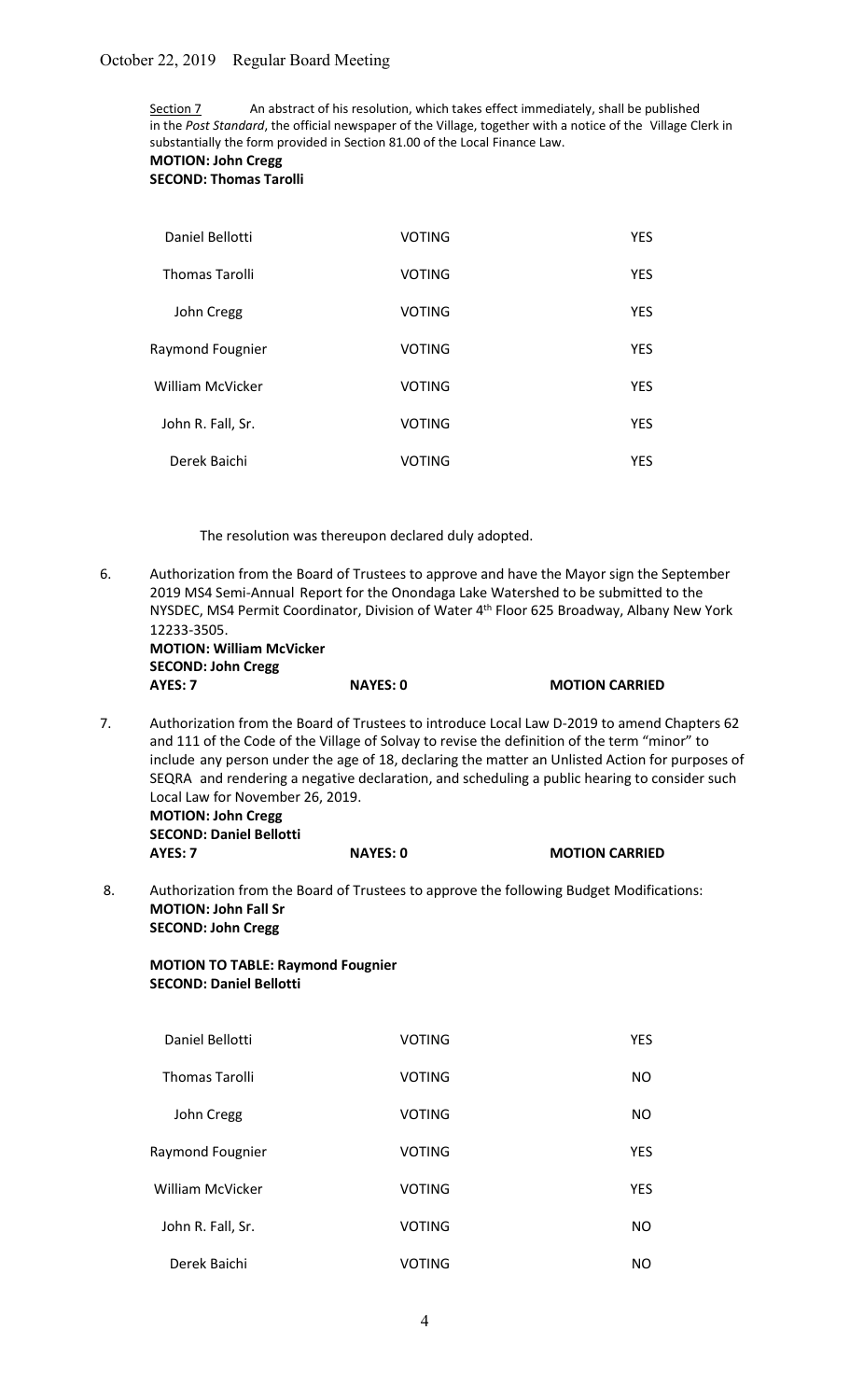Section 7 An abstract of his resolution, which takes effect immediately, shall be published in the Post Standard, the official newspaper of the Village, together with a notice of the Village Clerk in substantially the form provided in Section 81.00 of the Local Finance Law.

MOTION: John Cregg

SECOND: Thomas Tarolli

| Daniel Bellotti       | <b>VOTING</b> | <b>YES</b> |
|-----------------------|---------------|------------|
| <b>Thomas Tarolli</b> | <b>VOTING</b> | <b>YES</b> |
| John Cregg            | <b>VOTING</b> | <b>YES</b> |
| Raymond Fougnier      | <b>VOTING</b> | <b>YES</b> |
| William McVicker      | <b>VOTING</b> | <b>YES</b> |
| John R. Fall, Sr.     | <b>VOTING</b> | <b>YES</b> |
| Derek Baichi          | VOTING        | YES.       |

The resolution was thereupon declared duly adopted.

6. Authorization from the Board of Trustees to approve and have the Mayor sign the September 2019 MS4 Semi-Annual Report for the Onondaga Lake Watershed to be submitted to the NYSDEC, MS4 Permit Coordinator, Division of Water 4<sup>th</sup> Floor 625 Broadway, Albany New York 12233-3505.

 MOTION: William McVicker SECOND: John Cregg AYES: 7 NAYES: 0 MOTION CARRIED

7. Authorization from the Board of Trustees to introduce Local Law D-2019 to amend Chapters 62 and 111 of the Code of the Village of Solvay to revise the definition of the term "minor" to include any person under the age of 18, declaring the matter an Unlisted Action for purposes of SEQRA and rendering a negative declaration, and scheduling a public hearing to consider such Local Law for November 26, 2019.

 MOTION: John Cregg SECOND: Daniel Bellotti

AYES: 7 NAYES: 0 MOTION CARRIED

 8. Authorization from the Board of Trustees to approve the following Budget Modifications: MOTION: John Fall Sr SECOND: John Cregg

# MOTION TO TABLE: Raymond Fougnier SECOND: Daniel Bellotti

| Daniel Bellotti         | <b>VOTING</b> | <b>YES</b> |
|-------------------------|---------------|------------|
| <b>Thomas Tarolli</b>   | <b>VOTING</b> | NO         |
| John Cregg              | <b>VOTING</b> | NO         |
| Raymond Fougnier        | <b>VOTING</b> | <b>YES</b> |
| <b>William McVicker</b> | <b>VOTING</b> | <b>YES</b> |
| John R. Fall, Sr.       | <b>VOTING</b> | <b>NO</b>  |
| Derek Baichi            | <b>VOTING</b> | NO         |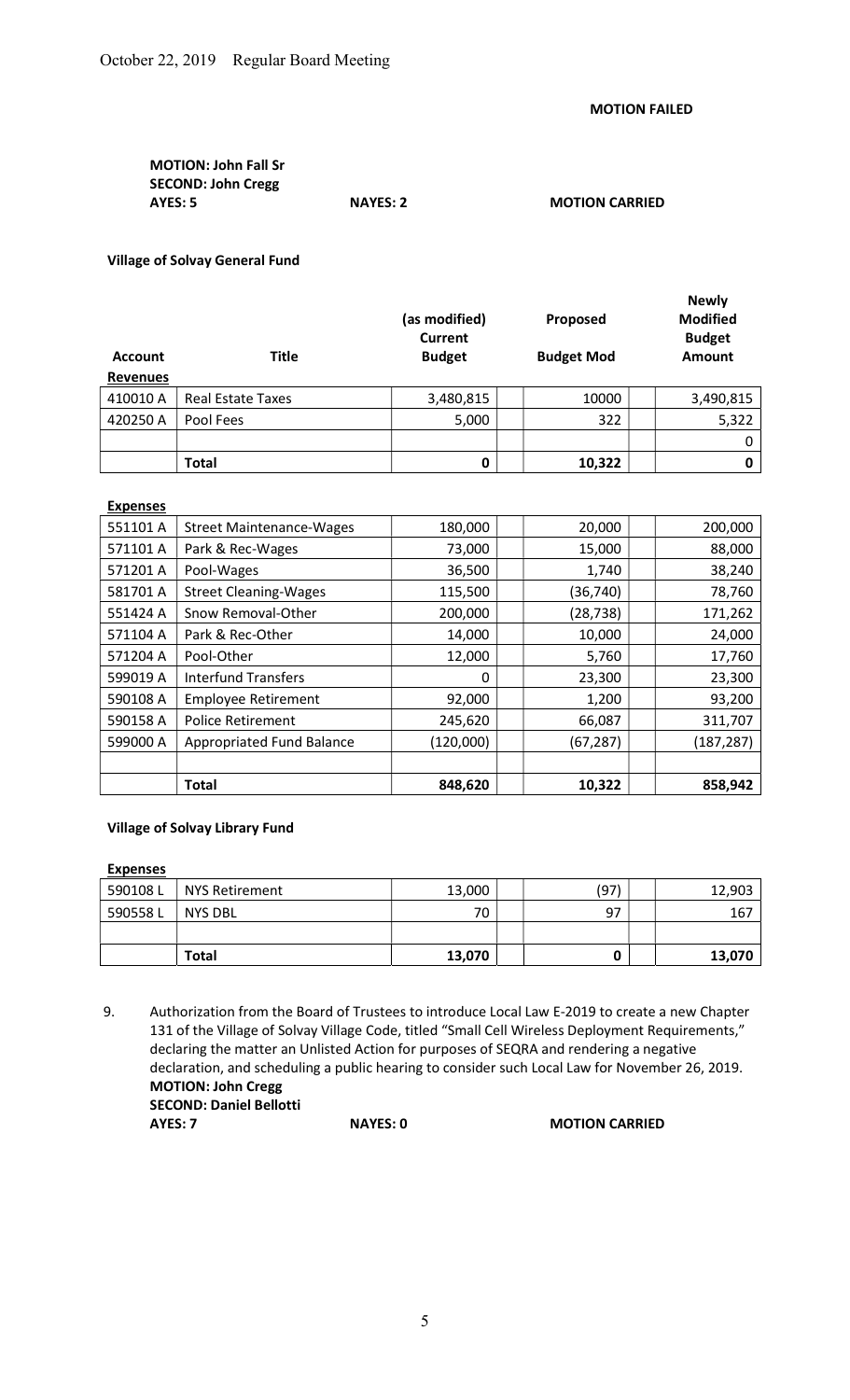# MOTION: John Fall Sr SECOND: John Cregg<br>AYES: 5 NAYES: 2 MOTION CARRIED

## Village of Solvay General Fund

| <b>Account</b><br><b>Revenues</b> | <b>Title</b>             | (as modified)<br>Current<br><b>Budget</b> | Proposed<br><b>Budget Mod</b> | <b>Newly</b><br><b>Modified</b><br><b>Budget</b><br><b>Amount</b> |
|-----------------------------------|--------------------------|-------------------------------------------|-------------------------------|-------------------------------------------------------------------|
| 410010 A                          | <b>Real Estate Taxes</b> | 3,480,815                                 | 10000                         | 3,490,815                                                         |
| 420250 A                          | Pool Fees                | 5,000                                     | 322                           | 5,322                                                             |
|                                   |                          |                                           |                               | 0                                                                 |
|                                   | <b>Total</b>             | 0                                         | 10,322                        | 0                                                                 |

#### Expenses

|          | <b>Police Retirement</b><br>Appropriated Fund Balance | 245,620<br>(120,000) | 66,087<br>(67, 287) | 311,707<br>(187, 287) |
|----------|-------------------------------------------------------|----------------------|---------------------|-----------------------|
|          |                                                       |                      |                     |                       |
| 599000 A |                                                       |                      |                     |                       |
| 590158 A |                                                       |                      |                     |                       |
| 590108 A | <b>Employee Retirement</b>                            | 92,000               | 1,200               | 93,200                |
| 599019 A | <b>Interfund Transfers</b>                            | 0                    | 23,300              | 23,300                |
| 571204 A | Pool-Other                                            | 12,000               | 5,760               | 17,760                |
| 571104 A | Park & Rec-Other                                      | 14,000               | 10,000              | 24,000                |
| 551424 A | Snow Removal-Other                                    | 200,000              | (28, 738)           | 171,262               |
| 581701 A | <b>Street Cleaning-Wages</b>                          | 115,500              | (36, 740)           | 78,760                |
| 571201 A | Pool-Wages                                            | 36,500               | 1,740               | 38,240                |
| 571101 A | Park & Rec-Wages                                      | 73,000               | 15,000              | 88,000                |
| 551101 A | <b>Street Maintenance-Wages</b>                       | 180,000              | 20,000              | 200,000               |

# Village of Solvay Library Fund

## **Expenses**

| 590108L | NYS Retirement | 13,000 | (97) | 12,903 |
|---------|----------------|--------|------|--------|
| 590558L | <b>NYS DBL</b> | 70     | 97   | 167    |
|         |                |        |      |        |
|         | Total          | 13,070 |      | 13,070 |

 <sup>9.</sup> Authorization from the Board of Trustees to introduce Local Law E-2019 to create a new Chapter 131 of the Village of Solvay Village Code, titled "Small Cell Wireless Deployment Requirements," declaring the matter an Unlisted Action for purposes of SEQRA and rendering a negative declaration, and scheduling a public hearing to consider such Local Law for November 26, 2019. MOTION: John Cregg SECOND: Daniel Bellotti

AYES: 7 NAYES: 0 MOTION CARRIED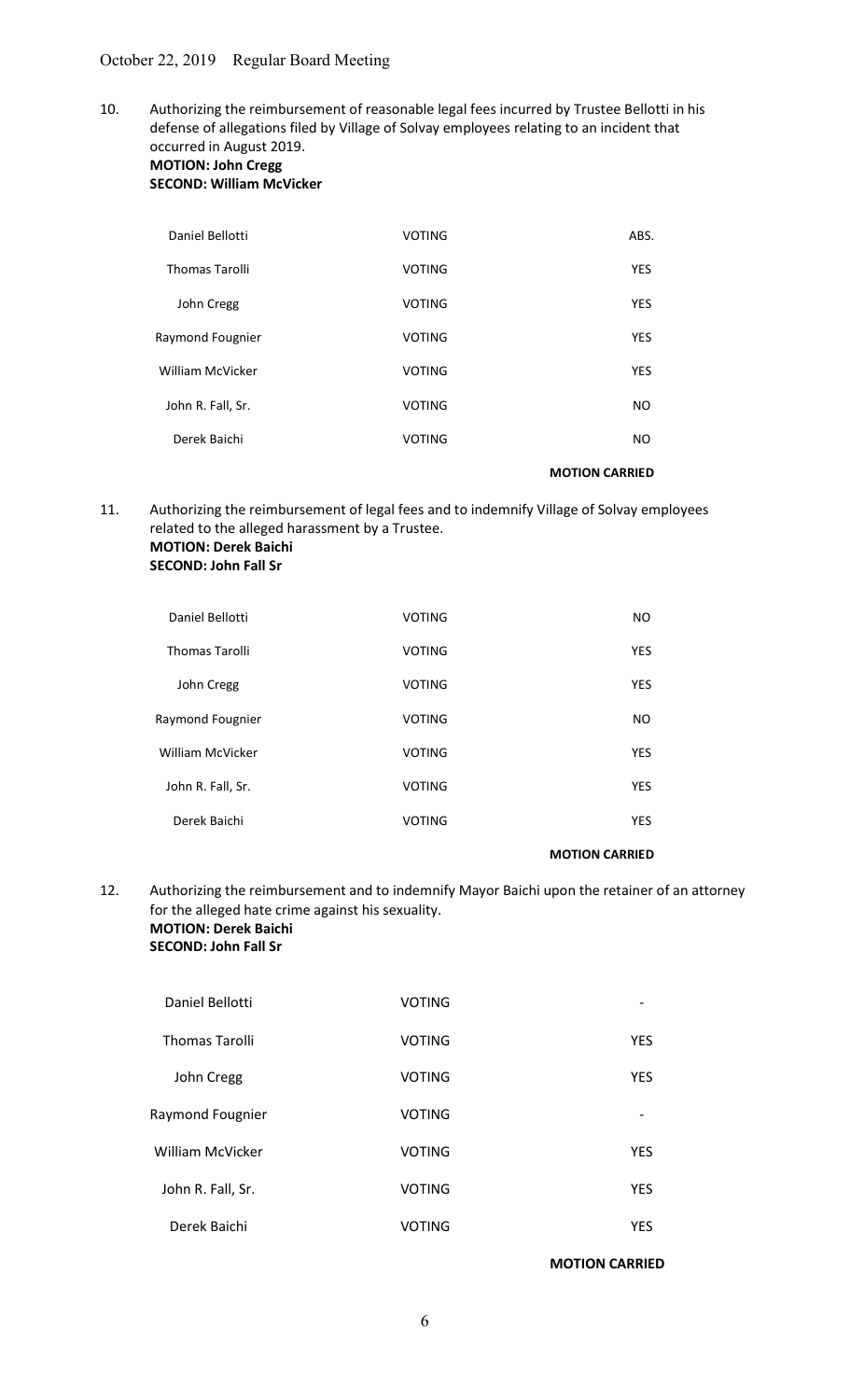10. Authorizing the reimbursement of reasonable legal fees incurred by Trustee Bellotti in his defense of allegations filed by Village of Solvay employees relating to an incident that occurred in August 2019.

#### MOTION: John Cregg SECOND: William McVicker

| Daniel Bellotti         | <b>VOTING</b> | ABS.       |
|-------------------------|---------------|------------|
| <b>Thomas Tarolli</b>   | <b>VOTING</b> | <b>YES</b> |
| John Cregg              | <b>VOTING</b> | <b>YES</b> |
| Raymond Fougnier        | <b>VOTING</b> | <b>YES</b> |
| <b>William McVicker</b> | <b>VOTING</b> | <b>YES</b> |
| John R. Fall, Sr.       | <b>VOTING</b> | NO.        |
| Derek Baichi            | <b>VOTING</b> | NO.        |
|                         |               |            |

MOTION CARRIED

11. Authorizing the reimbursement of legal fees and to indemnify Village of Solvay employees related to the alleged harassment by a Trustee. MOTION: Derek Baichi

| <b>SECOND: John Fall Sr</b> |  |  |
|-----------------------------|--|--|
|-----------------------------|--|--|

| NO.                   | <b>VOTING</b> | Daniel Bellotti       |
|-----------------------|---------------|-----------------------|
| <b>YES</b>            | <b>VOTING</b> | <b>Thomas Tarolli</b> |
| <b>YES</b>            | <b>VOTING</b> | John Cregg            |
| NO.                   | <b>VOTING</b> | Raymond Fougnier      |
| <b>YES</b>            | <b>VOTING</b> | William McVicker      |
| <b>YES</b>            | <b>VOTING</b> | John R. Fall, Sr.     |
| <b>YES</b>            | <b>VOTING</b> | Derek Baichi          |
| <b>MOTION CARRIED</b> |               |                       |

## 12. Authorizing the reimbursement and to indemnify Mayor Baichi upon the retainer of an attorney for the alleged hate crime against his sexuality. MOTION: Derek Baichi

## SECOND: John Fall Sr

| Daniel Bellotti         | <b>VOTING</b> |            |
|-------------------------|---------------|------------|
| <b>Thomas Tarolli</b>   | <b>VOTING</b> | <b>YES</b> |
| John Cregg              | <b>VOTING</b> | <b>YES</b> |
| Raymond Fougnier        | <b>VOTING</b> | -          |
| <b>William McVicker</b> | <b>VOTING</b> | <b>YES</b> |
| John R. Fall, Sr.       | <b>VOTING</b> | <b>YES</b> |
| Derek Baichi            | <b>VOTING</b> | <b>YES</b> |

MOTION CARRIED